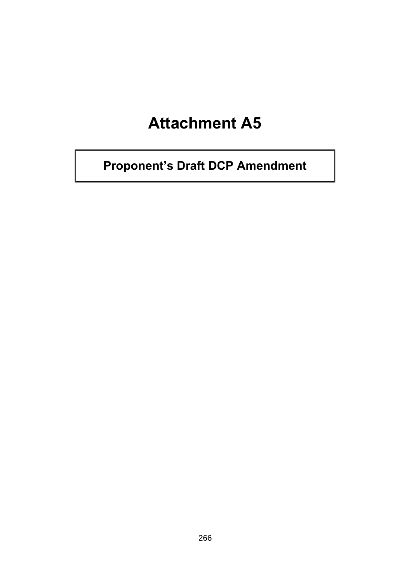# **Attachment A5**

**Proponent's Draft DCP Amendment**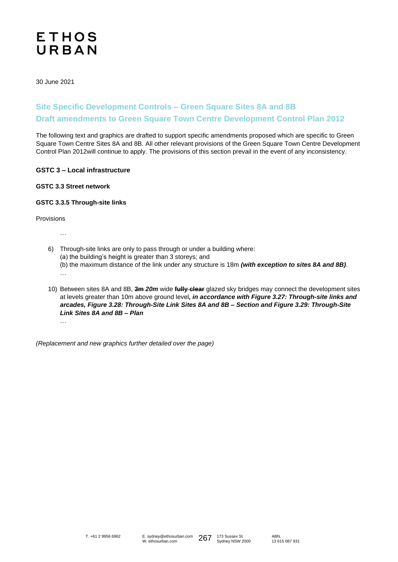# **ETHOS** URBAN

30 June 2021

# **Site Specific Development Controls – Green Square Sites 8A and 8B Draft amendments to Green Square Town Centre Development Control Plan 2012**

The following text and graphics are drafted to support specific amendments proposed which are specific to Green Square Town Centre Sites 8A and 8B. All other relevant provisions of the Green Square Town Centre Development Control Plan 2012will continue to apply. The provisions of this section prevail in the event of any inconsistency.

## **GSTC 3 – Local infrastructure**

# **GSTC 3.3 Street network**

#### **GSTC 3.3.5 Through-site links**

Provisions

…

…

- 6) Through-site links are only to pass through or under a building where:
	- (a) the building's height is greater than 3 storeys; and
	- (b) the maximum distance of the link under any structure is 18m *(with exception to sites 8A and 8B)*.
- 10) Between sites 8A and 8B, **3m** *20m* wide **fully clear** glazed sky bridges may connect the development sites at levels greater than 10m above ground level*, in accordance with Figure 3.27: Through-site links and arcades, Figure 3.28: Through-Site Link Sites 8A and 8B – Section and Figure 3.29: Through-Site Link Sites 8A and 8B – Plan* …

*(Replacement and new graphics further detailed over the page)* 

ABN. 13 615 087 931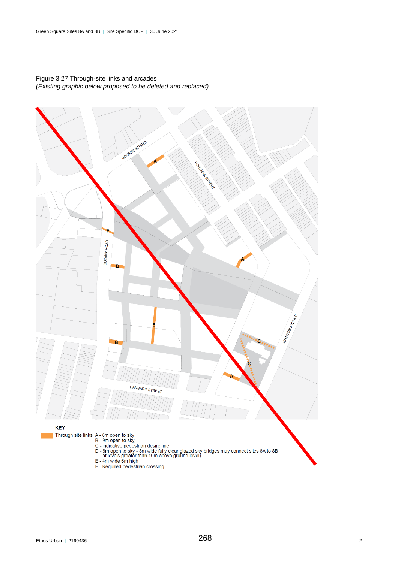

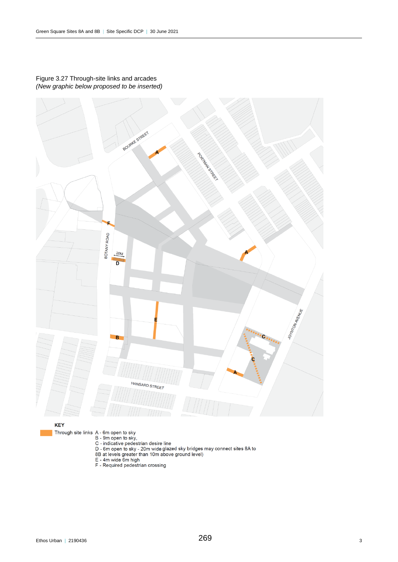

## Figure 3.27 Through-site links and arcades *(New graphic below proposed to be inserted)*

**KEY** 

- 
- Through site links A 6m open to sky<br>
B 9m open to sky,<br>
C indicative pedestrian desire line<br>
D 6m open to sky 20m wide glazed sky bridges may connect sites 8A to<br>
8B at levels greater than 10m above ground level)
	-
	-
	-